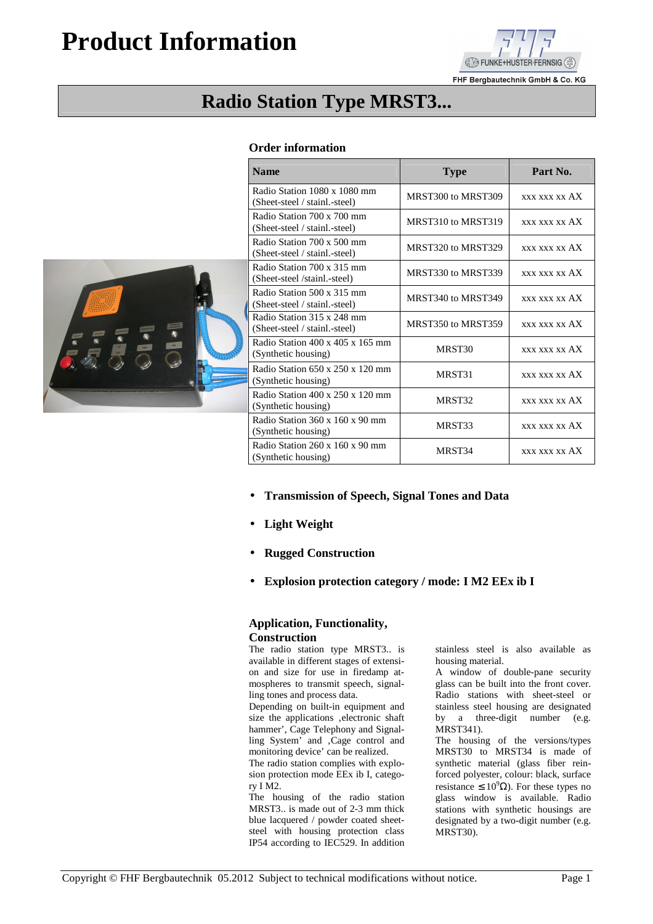## **Product Information**



FHF Bergbautechnik GmbH & Co. KG

## **Radio Station Type MRST3...**

## **Order information**

|              | Radio Station 1080 x 1080 mm<br>(Sheet-steel / stainl.-steel)       | MRST300 to MRST309 | <b>XXX XXX XX AX</b> |
|--------------|---------------------------------------------------------------------|--------------------|----------------------|
|              | Radio Station 700 x 700 mm<br>(Sheet-steel / stainl.-steel)         | MRST310 to MRST319 | <b>XXX XXX XX AX</b> |
|              | Radio Station 700 x 500 mm<br>(Sheet-steel / stainl.-steel)         | MRST320 to MRST329 | <b>XXX XXX XX AX</b> |
|              | Radio Station 700 x 315 mm<br>(Sheet-steel /stainl.-steel)          | MRST330 to MRST339 | <b>XXX XXX XX AX</b> |
| $_{\rm{Ab}}$ | Radio Station 500 x 315 mm<br>(Sheet-steel / stainl.-steel)         | MRST340 to MRST349 | <b>XXX XXX XX AX</b> |
|              | Radio Station 315 x 248 mm<br>(Sheet-steel / stainl.-steel)         | MRST350 to MRST359 | <b>XXX XXX XX AX</b> |
|              | Radio Station 400 x 405 x 165 mm<br>(Synthetic housing)             | MRST30             | <b>XXX XXX XX AX</b> |
|              | Radio Station $650 \times 250 \times 120$ mm<br>(Synthetic housing) | MRST31             | <b>XXX XXX XX AX</b> |
|              | Radio Station $400 \times 250 \times 120$ mm<br>(Synthetic housing) | MRST32             | xxx xxx xx AX        |
|              | Radio Station 360 x 160 x 90 mm<br>(Synthetic housing)              | MRST33             | <b>XXX XXX XX AX</b> |
|              | Radio Station 260 x 160 x 90 mm<br>(Synthetic housing)              | MRST34             | <b>XXX XXX XX AX</b> |

• **Transmission of Speech, Signal Tones and Data** 

Name **Name Name Part No. Part No.** 

- **Light Weight**
- **Rugged Construction**
- **Explosion protection category / mode: I M2 EEx ib I**

## **Application, Functionality, Construction**

The radio station type MRST3.. is available in different stages of extension and size for use in firedamp atmospheres to transmit speech, signalling tones and process data.

Depending on built-in equipment and size the applications .electronic shaft hammer', Cage Telephony and Signalling System' and , Cage control and monitoring device' can be realized.

The radio station complies with explosion protection mode EEx ib I, category I M2.

The housing of the radio station MRST3.. is made out of 2-3 mm thick blue lacquered / powder coated sheetsteel with housing protection class IP54 according to IEC529. In addition stainless steel is also available as housing material.

A window of double-pane security glass can be built into the front cover. Radio stations with sheet-steel or stainless steel housing are designated by a three-digit number (e.g. MRST341).

The housing of the versions/types MRST30 to MRST34 is made of synthetic material (glass fiber reinforced polyester, colour: black, surface resistance  $\leq 10^9 \Omega$ ). For these types no glass window is available. Radio stations with synthetic housings are designated by a two-digit number (e.g. MRST30).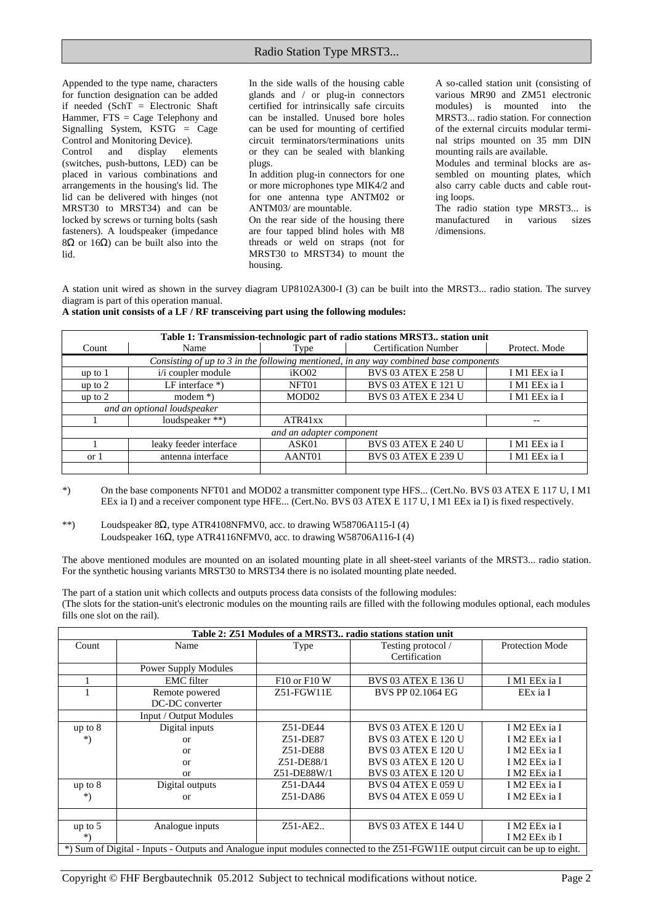Appended to the type name, characters for function designation can be added if needed (SchT = Electronic Shaft Hammer, FTS = Cage Telephony and Signalling System, KSTG = Cage Control and Monitoring Device).<br>
Control and display ele Control and display elements (switches, push-buttons, LED) can be placed in various combinations and arrangements in the housing's lid. The lid can be delivered with hinges (not MRST30 to MRST34) and can be locked by screws or turning bolts (sash fasteners). A loudspeaker (impedance 8Ω or 16Ω) can be built also into the

lid.

In the side walls of the housing cable glands and / or plug-in connectors certified for intrinsically safe circuits can be installed. Unused bore holes can be used for mounting of certified circuit terminators/terminations units or they can be sealed with blanking plugs.

In addition plug-in connectors for one or more microphones type MIK4/2 and for one antenna type ANTM02 or ANTM03/ are mountable.

On the rear side of the housing there are four tapped blind holes with M8 threads or weld on straps (not for MRST30 to MRST34) to mount the housing.

A so-called station unit (consisting of various MR90 and ZM51 electronic modules) is mounted into the MRST3... radio station. For connection of the external circuits modular terminal strips mounted on 35 mm DIN mounting rails are available.

Modules and terminal blocks are assembled on mounting plates, which also carry cable ducts and cable routing loops.

The radio station type MRST3... is manufactured in various sizes /dimensions.

A station unit wired as shown in the survey diagram UP8102A300-I (3) can be built into the MRST3... radio station. The survey diagram is part of this operation manual.

| A station unit consists of a LF / RF transceiving part using the following modules: |  |  |  |  |
|-------------------------------------------------------------------------------------|--|--|--|--|
|-------------------------------------------------------------------------------------|--|--|--|--|

| Table 1: Transmission-technologic part of radio stations MRST3 station unit           |                        |                   |                             |               |
|---------------------------------------------------------------------------------------|------------------------|-------------------|-----------------------------|---------------|
| Count                                                                                 | Name                   | Type              | <b>Certification Number</b> | Protect. Mode |
| Consisting of up to 3 in the following mentioned, in any way combined base components |                        |                   |                             |               |
| up to 1                                                                               | i/i coupler module     | iKO02             | <b>BVS 03 ATEX E 258 U</b>  | I M1 EEx ia I |
| up to $2$                                                                             | LF interface $*$ )     | NFT01             | <b>BVS 03 ATEX E 121 U</b>  | I M1 EEx ia I |
| up to $2$                                                                             | modem $*)$             | MOD <sub>02</sub> | <b>BVS 03 ATEX E 234 U</b>  | I M1 EEx ia I |
| and an optional loudspeaker                                                           |                        |                   |                             |               |
|                                                                                       | loudspeaker **)        | ATR41xx           |                             |               |
| and an adapter component                                                              |                        |                   |                             |               |
|                                                                                       | leaky feeder interface | ASK01             | <b>BVS 03 ATEX E 240 U</b>  | I M1 EEx ia I |
| or 1                                                                                  | antenna interface      | AANT01            | <b>BVS 03 ATEX E 239 U</b>  | I M1 EEx ia I |
|                                                                                       |                        |                   |                             |               |

\*) On the base components NFT01 and MOD02 a transmitter component type HFS... (Cert.No. BVS 03 ATEX E 117 U, I M1 EEx ia I) and a receiver component type HFE... (Cert.No. BVS 03 ATEX E 117 U, I M1 EEx ia I) is fixed respectively.

\*\*) Loudspeaker 8Ω, type ATR4108NFMV0, acc. to drawing W58706A115-I (4) Loudspeaker 16Ω, type ATR4116NFMV0, acc. to drawing W58706A116-I (4)

The above mentioned modules are mounted on an isolated mounting plate in all sheet-steel variants of the MRST3... radio station. For the synthetic housing variants MRST30 to MRST34 there is no isolated mounting plate needed.

The part of a station unit which collects and outputs process data consists of the following modules: (The slots for the station-unit's electronic modules on the mounting rails are filled with the following modules optional, each modules fills one slot on the rail).

| Table 2: Z51 Modules of a MRST3 radio stations station unit                                                                    |                             |              |                            |                        |
|--------------------------------------------------------------------------------------------------------------------------------|-----------------------------|--------------|----------------------------|------------------------|
| Count                                                                                                                          | Name                        | Type         | Testing protocol /         | <b>Protection Mode</b> |
|                                                                                                                                |                             |              | Certification              |                        |
|                                                                                                                                | <b>Power Supply Modules</b> |              |                            |                        |
|                                                                                                                                | <b>EMC</b> filter           | F10 or F10 W | <b>BVS 03 ATEX E 136 U</b> | I M1 EEx ia I          |
|                                                                                                                                | Remote powered              | $Z51-FGW11E$ | BVS PP 02.1064 EG          | EEx ia I               |
|                                                                                                                                | DC-DC converter             |              |                            |                        |
|                                                                                                                                | Input / Output Modules      |              |                            |                        |
| up to 8                                                                                                                        | Digital inputs              | Z51-DF44     | <b>BVS 03 ATEX E 120 U</b> | I M2 EEx ia I          |
| *)                                                                                                                             | or                          | Z51-DE87     | <b>BVS 03 ATEX E 120 U</b> | I M2 EEx ia I          |
|                                                                                                                                | or                          | Z51-DE88     | <b>BVS 03 ATEX E 120 U</b> | I M2 EEx ia I          |
|                                                                                                                                | or                          | Z51-DE88/1   | <b>BVS 03 ATEX E 120 U</b> | I M2 EEx ia I          |
|                                                                                                                                | or                          | Z51-DE88W/1  | <b>BVS 03 ATEX E 120 U</b> | I M2 EEx ia I          |
| up to 8                                                                                                                        | Digital outputs             | Z51-DA44     | <b>BVS 04 ATEX E 059 U</b> | I M2 EEx ia I          |
| *)                                                                                                                             | or                          | Z51-DA86     | <b>BVS 04 ATEX E 059 U</b> | I M2 EEx ia I          |
|                                                                                                                                |                             |              |                            |                        |
| up to $5$                                                                                                                      | Analogue inputs             | $Z51-AE2$    | <b>BVS 03 ATEX E 144 U</b> | I M2 EEx ia I          |
| *)                                                                                                                             |                             |              |                            | I M2 EEx ib I          |
| *) Sum of Digital - Inputs - Outputs and Analogue input modules connected to the Z51-FGW11E output circuit can be up to eight. |                             |              |                            |                        |